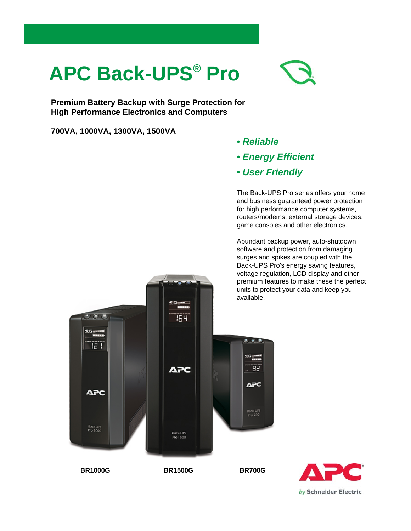## **APC Back-UPS® Pro**

**Premium Battery Backup with Surge Protection for High Performance Electronics and Computers**

**700VA, 1000VA, 1300VA, 1500VA**

- *Reliable*
- *Energy Efficient*
- *User Friendly*

The Back-UPS Pro series offers your home and business guaranteed power protection for high performance computer systems, routers/modems, external storage devices, game consoles and other electronics.

Abundant backup power, auto-shutdown software and protection from damaging surges and spikes are coupled with the Back-UPS Pro's energy saving features, voltage regulation, LCD display and other premium features to make these the perfect units to protect your data and keep you



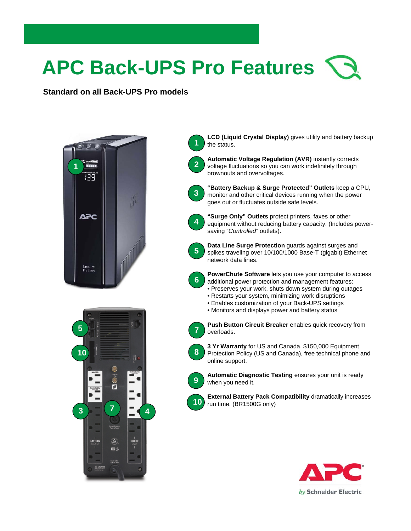# **APC Back-UPS Pro Features**

**Standard on all Back-UPS Pro models**







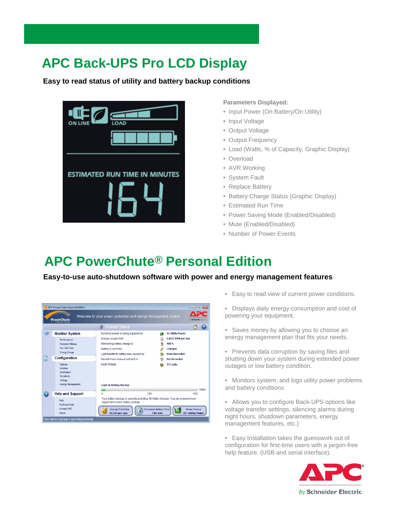### **APC Back-UPS Pro LCD Display**

**Easy to read status of utility and battery backup conditions**



**Parameters Displayed:**

- Input Power (On Battery/On Utility)
- Input Voltage
- Output Voltage
- Output Frequency
- Load (Watts, % of Capacity, Graphic Display)
- Overload
- AVR Working
- System Fault
- Replace Battery
- Battery Charge Status (Graphic Display)
- Estimated Run Time
- Power Saving Mode (Enabled/Disabled)
- Mute (Enabled/Disabled)
- Number of Power Events

### **APC PowerChute® Personal Edition**

#### **Easy-to-use auto-shutdown software with power and energy management features**



- Easy to read view of current power conditions.
- Displays daily energy consumption and cost of powering your equipment.
- Saves money by allowing you to choose an energy management plan that fits your needs.
- Prevents data corruption by saving files and shutting down your system during extended power outages or low battery condition.
- Monitors system, and logs utility power problems and battery conditions
- Allows you to configure Back-UPS options like voltage transfer settings, silencing alarms during night hours, shutdown parameters, energy management features, etc.)
- Easy Installation takes the guesswork out of configuration for first-time users with a jargon-free help feature. (USB and serial interface).